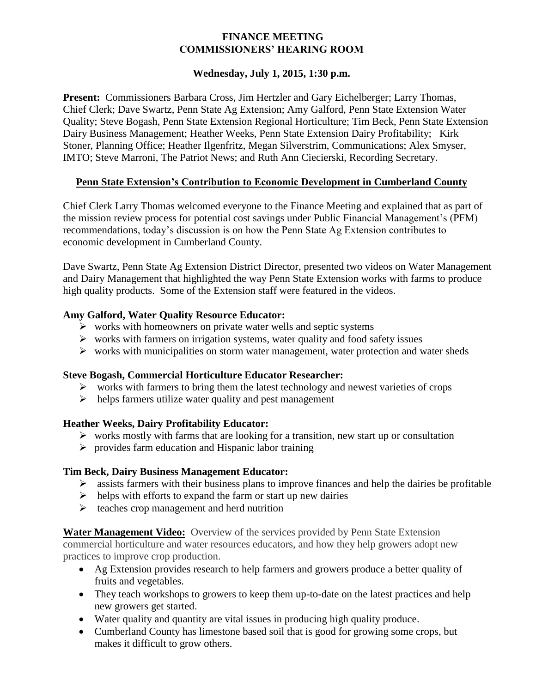## **FINANCE MEETING COMMISSIONERS' HEARING ROOM**

## **Wednesday, July 1, 2015, 1:30 p.m.**

**Present:** Commissioners Barbara Cross, Jim Hertzler and Gary Eichelberger; Larry Thomas, Chief Clerk; Dave Swartz, Penn State Ag Extension; Amy Galford, Penn State Extension Water Quality; Steve Bogash, Penn State Extension Regional Horticulture; Tim Beck, Penn State Extension Dairy Business Management; Heather Weeks, Penn State Extension Dairy Profitability; Kirk Stoner, Planning Office; Heather Ilgenfritz, Megan Silverstrim, Communications; Alex Smyser, IMTO; Steve Marroni, The Patriot News; and Ruth Ann Ciecierski, Recording Secretary.

# **Penn State Extension's Contribution to Economic Development in Cumberland County**

Chief Clerk Larry Thomas welcomed everyone to the Finance Meeting and explained that as part of the mission review process for potential cost savings under Public Financial Management's (PFM) recommendations, today's discussion is on how the Penn State Ag Extension contributes to economic development in Cumberland County.

Dave Swartz, Penn State Ag Extension District Director, presented two videos on Water Management and Dairy Management that highlighted the way Penn State Extension works with farms to produce high quality products. Some of the Extension staff were featured in the videos.

## **Amy Galford, Water Quality Resource Educator:**

- $\triangleright$  works with homeowners on private water wells and septic systems
- $\triangleright$  works with farmers on irrigation systems, water quality and food safety issues
- $\triangleright$  works with municipalities on storm water management, water protection and water sheds

#### **Steve Bogash, Commercial Horticulture Educator Researcher:**

- $\triangleright$  works with farmers to bring them the latest technology and newest varieties of crops
- $\triangleright$  helps farmers utilize water quality and pest management

#### **Heather Weeks, Dairy Profitability Educator:**

- $\triangleright$  works mostly with farms that are looking for a transition, new start up or consultation
- $\triangleright$  provides farm education and Hispanic labor training

# **Tim Beck, Dairy Business Management Educator:**

- $\triangleright$  assists farmers with their business plans to improve finances and help the dairies be profitable
- $\triangleright$  helps with efforts to expand the farm or start up new dairies
- $\triangleright$  teaches crop management and herd nutrition

**Water Management Video:** Overview of the services provided by Penn State Extension commercial horticulture and water resources educators, and how they help growers adopt new practices to improve crop production.

- Ag Extension provides research to help farmers and growers produce a better quality of fruits and vegetables.
- They teach workshops to growers to keep them up-to-date on the latest practices and help new growers get started.
- Water quality and quantity are vital issues in producing high quality produce.
- Cumberland County has limestone based soil that is good for growing some crops, but makes it difficult to grow others.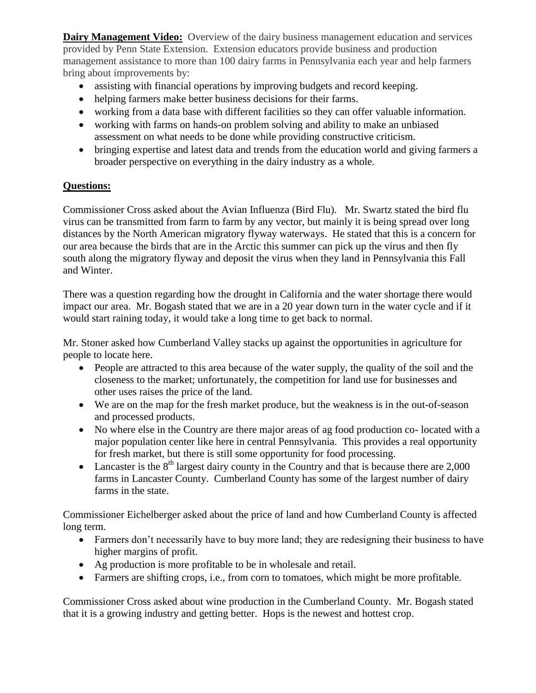**Dairy Management Video:** Overview of the dairy business management education and services provided by Penn State Extension. Extension educators provide business and production management assistance to more than 100 dairy farms in Pennsylvania each year and help farmers bring about improvements by:

- assisting with financial operations by improving budgets and record keeping.
- helping farmers make better business decisions for their farms.
- working from a data base with different facilities so they can offer valuable information.
- working with farms on hands-on problem solving and ability to make an unbiased assessment on what needs to be done while providing constructive criticism.
- bringing expertise and latest data and trends from the education world and giving farmers a broader perspective on everything in the dairy industry as a whole.

# **Questions:**

Commissioner Cross asked about the Avian Influenza (Bird Flu). Mr. Swartz stated the bird flu virus can be transmitted from farm to farm by any vector, but mainly it is being spread over long distances by the North American migratory flyway waterways. He stated that this is a concern for our area because the birds that are in the Arctic this summer can pick up the virus and then fly south along the migratory flyway and deposit the virus when they land in Pennsylvania this Fall and Winter.

There was a question regarding how the drought in California and the water shortage there would impact our area. Mr. Bogash stated that we are in a 20 year down turn in the water cycle and if it would start raining today, it would take a long time to get back to normal.

Mr. Stoner asked how Cumberland Valley stacks up against the opportunities in agriculture for people to locate here.

- People are attracted to this area because of the water supply, the quality of the soil and the closeness to the market; unfortunately, the competition for land use for businesses and other uses raises the price of the land.
- We are on the map for the fresh market produce, but the weakness is in the out-of-season and processed products.
- No where else in the Country are there major areas of ag food production co- located with a major population center like here in central Pennsylvania. This provides a real opportunity for fresh market, but there is still some opportunity for food processing.
- Lancaster is the  $8<sup>th</sup>$  largest dairy county in the Country and that is because there are 2,000 farms in Lancaster County. Cumberland County has some of the largest number of dairy farms in the state.

Commissioner Eichelberger asked about the price of land and how Cumberland County is affected long term.

- Farmers don't necessarily have to buy more land; they are redesigning their business to have higher margins of profit.
- Ag production is more profitable to be in wholesale and retail.
- Farmers are shifting crops, i.e., from corn to tomatoes, which might be more profitable.

Commissioner Cross asked about wine production in the Cumberland County. Mr. Bogash stated that it is a growing industry and getting better. Hops is the newest and hottest crop.